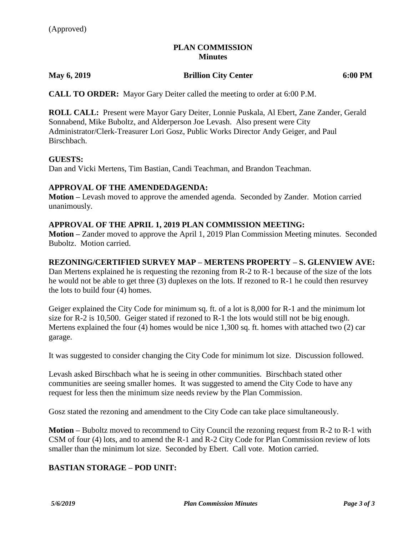### **PLAN COMMISSION Minutes**

#### **May 6, 2019 Brillion City Center 6:00 PM**

**CALL TO ORDER:** Mayor Gary Deiter called the meeting to order at 6:00 P.M.

**ROLL CALL:** Present were Mayor Gary Deiter, Lonnie Puskala, Al Ebert, Zane Zander, Gerald Sonnabend, Mike Buboltz, and Alderperson Joe Levash. Also present were City Administrator/Clerk-Treasurer Lori Gosz, Public Works Director Andy Geiger, and Paul Birschbach.

#### **GUESTS:**

Dan and Vicki Mertens, Tim Bastian, Candi Teachman, and Brandon Teachman.

### **APPROVAL OF THE AMENDEDAGENDA:**

**Motion –** Levash moved to approve the amended agenda. Seconded by Zander. Motion carried unanimously.

#### **APPROVAL OF THE APRIL 1, 2019 PLAN COMMISSION MEETING:**

**Motion –** Zander moved to approve the April 1, 2019 Plan Commission Meeting minutes. Seconded Buboltz. Motion carried.

#### **REZONING/CERTIFIED SURVEY MAP – MERTENS PROPERTY – S. GLENVIEW AVE:**

Dan Mertens explained he is requesting the rezoning from R-2 to R-1 because of the size of the lots he would not be able to get three (3) duplexes on the lots. If rezoned to R-1 he could then resurvey the lots to build four (4) homes.

Geiger explained the City Code for minimum sq. ft. of a lot is 8,000 for R-1 and the minimum lot size for R-2 is 10,500. Geiger stated if rezoned to R-1 the lots would still not be big enough. Mertens explained the four (4) homes would be nice 1,300 sq. ft. homes with attached two (2) car garage.

It was suggested to consider changing the City Code for minimum lot size. Discussion followed.

Levash asked Birschbach what he is seeing in other communities. Birschbach stated other communities are seeing smaller homes. It was suggested to amend the City Code to have any request for less then the minimum size needs review by the Plan Commission.

Gosz stated the rezoning and amendment to the City Code can take place simultaneously.

**Motion –** Buboltz moved to recommend to City Council the rezoning request from R-2 to R-1 with CSM of four (4) lots, and to amend the R-1 and R-2 City Code for Plan Commission review of lots smaller than the minimum lot size. Seconded by Ebert. Call vote. Motion carried.

### **BASTIAN STORAGE – POD UNIT:**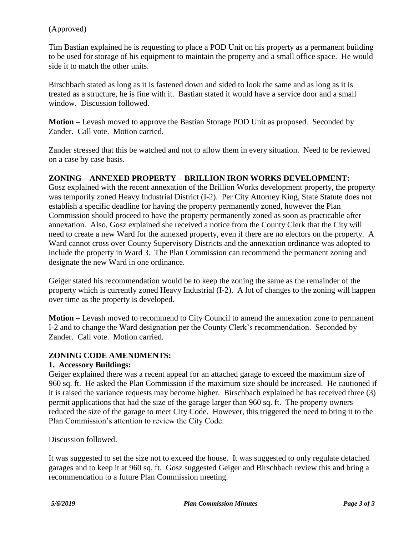### (Approved)

Tim Bastian explained he is requesting to place a POD Unit on his property as a permanent building to be used for storage of his equipment to maintain the property and a small office space. He would side it to match the other units.

Birschbach stated as long as it is fastened down and sided to look the same and as long as it is treated as a structure, he is fine with it. Bastian stated it would have a service door and a small window. Discussion followed.

**Motion –** Levash moved to approve the Bastian Storage POD Unit as proposed. Seconded by Zander. Call vote. Motion carried.

Zander stressed that this be watched and not to allow them in every situation. Need to be reviewed on a case by case basis.

### **ZONING – ANNEXED PROPERTY – BRILLION IRON WORKS DEVELOPMENT:**

Gosz explained with the recent annexation of the Brillion Works development property, the property was temporily zoned Heavy Industrial District (I-2). Per City Attorney King, State Statute does not establish a specific deadline for having the property permanently zoned, however the Plan Commission should proceed to have the property permanently zoned as soon as practicable after annexation. Also, Gosz explained she received a notice from the County Clerk that the City will need to create a new Ward for the annexed property, even if there are no electors on the property. A Ward cannot cross over County Supervisory Districts and the annexation ordinance was adopted to include the property in Ward 3. The Plan Commission can recommend the permanent zoning and designate the new Ward in one ordinance.

Geiger stated his recommendation would be to keep the zoning the same as the remainder of the property which is currently zoned Heavy Industrial (I-2). A lot of changes to the zoning will happen over time as the property is developed.

**Motion –** Levash moved to recommend to City Council to amend the annexation zone to permanent I-2 and to change the Ward designation per the County Clerk's recommendation. Seconded by Zander. Call vote. Motion carried.

### **ZONING CODE AMENDMENTS:**

#### **1. Accessory Buildings:**

Geiger explained there was a recent appeal for an attached garage to exceed the maximum size of 960 sq. ft. He asked the Plan Commission if the maximum size should be increased. He cautioned if it is raised the variance requests may become higher. Birschbach explained he has received three (3) permit applications that had the size of the garage larger than 960 sq. ft. The property owners reduced the size of the garage to meet City Code. However, this triggered the need to bring it to the Plan Commission's attention to review the City Code.

Discussion followed.

It was suggested to set the size not to exceed the house. It was suggested to only regulate detached garages and to keep it at 960 sq. ft. Gosz suggested Geiger and Birschbach review this and bring a recommendation to a future Plan Commission meeting.